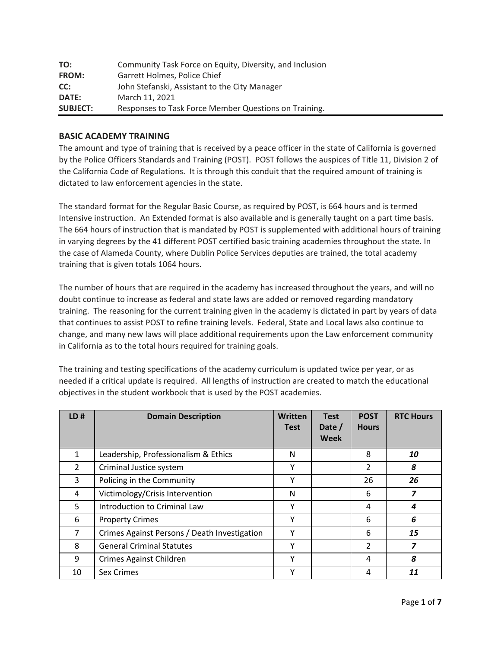| TO:             | Community Task Force on Equity, Diversity, and Inclusion |
|-----------------|----------------------------------------------------------|
| <b>FROM:</b>    | Garrett Holmes, Police Chief                             |
| CC:             | John Stefanski, Assistant to the City Manager            |
| <b>DATE:</b>    | March 11, 2021                                           |
| <b>SUBJECT:</b> | Responses to Task Force Member Questions on Training.    |

# **BASIC ACADEMY TRAINING**

The amount and type of training that is received by a peace officer in the state of California is governed by the Police Officers Standards and Training (POST). POST follows the auspices of Title 11, Division 2 of the California Code of Regulations. It is through this conduit that the required amount of training is dictated to law enforcement agencies in the state.

The standard format for the Regular Basic Course, as required by POST, is 664 hours and is termed Intensive instruction. An Extended format is also available and is generally taught on a part time basis. The 664 hours of instruction that is mandated by POST is supplemented with additional hours of training in varying degrees by the 41 different POST certified basic training academies throughout the state. In the case of Alameda County, where Dublin Police Services deputies are trained, the total academy training that is given totals 1064 hours.

The number of hours that are required in the academy has increased throughout the years, and will no doubt continue to increase as federal and state laws are added or removed regarding mandatory training. The reasoning for the current training given in the academy is dictated in part by years of data that continues to assist POST to refine training levels. Federal, State and Local laws also continue to change, and many new laws will place additional requirements upon the Law enforcement community in California as to the total hours required for training goals.

The training and testing specifications of the academy curriculum is updated twice per year, or as needed if a critical update is required. All lengths of instruction are created to match the educational objectives in the student workbook that is used by the POST academies.

| LD#            | <b>Domain Description</b>                    | <b>Written</b><br><b>Test</b> | <b>Test</b><br>Date /<br>Week | <b>POST</b><br><b>Hours</b> | <b>RTC Hours</b> |
|----------------|----------------------------------------------|-------------------------------|-------------------------------|-----------------------------|------------------|
| $\mathbf{1}$   | Leadership, Professionalism & Ethics         | N                             |                               | 8                           | 10               |
| $\overline{2}$ | Criminal Justice system                      | Y                             |                               | $\overline{2}$              | 8                |
| 3              | Policing in the Community                    | Υ                             |                               | 26                          | 26               |
| 4              | Victimology/Crisis Intervention              | N                             |                               | 6                           | 7                |
| 5              | Introduction to Criminal Law                 | Υ                             |                               | 4                           | 4                |
| 6              | <b>Property Crimes</b>                       | Y                             |                               | 6                           | 6                |
| $\overline{7}$ | Crimes Against Persons / Death Investigation | Y                             |                               | 6                           | 15               |
| 8              | <b>General Criminal Statutes</b>             | Υ                             |                               | $\mathfrak{p}$              | 7                |
| 9              | Crimes Against Children                      | Υ                             |                               | 4                           | 8                |
| 10             | Sex Crimes                                   | ٧                             |                               | 4                           | 11               |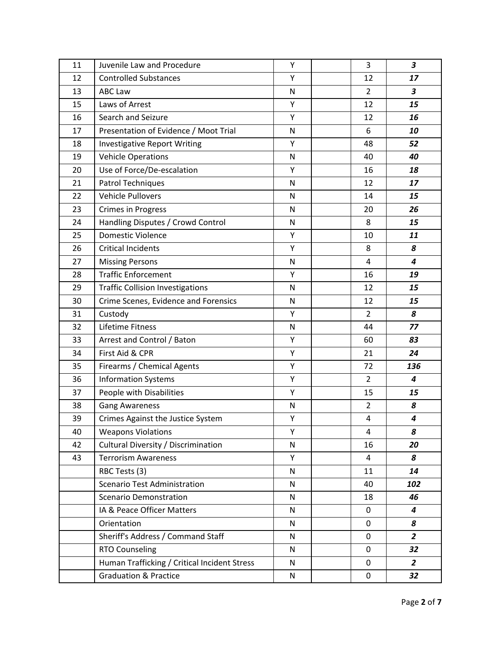| 11 | Juvenile Law and Procedure                   | Υ         | 3              | 3                       |
|----|----------------------------------------------|-----------|----------------|-------------------------|
| 12 | <b>Controlled Substances</b>                 | Υ         | 12             | 17                      |
| 13 | <b>ABC Law</b>                               | N         | $\overline{2}$ | $\overline{\mathbf{3}}$ |
| 15 | Laws of Arrest                               | Υ         | 12             | 15                      |
| 16 | Search and Seizure                           | Υ         | 12             | 16                      |
| 17 | Presentation of Evidence / Moot Trial        | N         | 6              | 10                      |
| 18 | <b>Investigative Report Writing</b>          | Υ         | 48             | 52                      |
| 19 | <b>Vehicle Operations</b>                    | ${\sf N}$ | 40             | 40                      |
| 20 | Use of Force/De-escalation                   | Υ         | 16             | 18                      |
| 21 | Patrol Techniques                            | N         | 12             | 17                      |
| 22 | <b>Vehicle Pullovers</b>                     | N         | 14             | 15                      |
| 23 | Crimes in Progress                           | N         | 20             | 26                      |
| 24 | Handling Disputes / Crowd Control            | N         | 8              | 15                      |
| 25 | <b>Domestic Violence</b>                     | Υ         | 10             | 11                      |
| 26 | <b>Critical Incidents</b>                    | Y         | 8              | 8                       |
| 27 | <b>Missing Persons</b>                       | N         | 4              | $\overline{\mathbf{4}}$ |
| 28 | <b>Traffic Enforcement</b>                   | Υ         | 16             | 19                      |
| 29 | <b>Traffic Collision Investigations</b>      | N         | 12             | 15                      |
| 30 | Crime Scenes, Evidence and Forensics         | N         | 12             | 15                      |
| 31 | Custody                                      | Υ         | $\overline{2}$ | 8                       |
| 32 | Lifetime Fitness                             | N         | 44             | 77                      |
| 33 | Arrest and Control / Baton                   | Υ         | 60             | 83                      |
| 34 | First Aid & CPR                              | Υ         | 21             | 24                      |
| 35 | Firearms / Chemical Agents                   | Υ         | 72             | 136                     |
| 36 | <b>Information Systems</b>                   | Υ         | $\overline{2}$ | 4                       |
| 37 | People with Disabilities                     | Υ         | 15             | 15                      |
| 38 | <b>Gang Awareness</b>                        | ${\sf N}$ | $\overline{2}$ | 8                       |
| 39 | Crimes Against the Justice System            | Υ         | 4              | 4                       |
| 40 | <b>Weapons Violations</b>                    | Υ         | 4              | 8                       |
| 42 | Cultural Diversity / Discrimination          | N         | 16             | 20                      |
| 43 | <b>Terrorism Awareness</b>                   | Y         | 4              | 8                       |
|    | RBC Tests (3)                                | N         | 11             | 14                      |
|    | <b>Scenario Test Administration</b>          | N         | 40             | 102                     |
|    | <b>Scenario Demonstration</b>                | N         | 18             | 46                      |
|    | IA & Peace Officer Matters                   | N         | 0              | $\boldsymbol{4}$        |
|    | Orientation                                  | N         | 0              | 8                       |
|    | Sheriff's Address / Command Staff            | N         | 0              | $\overline{2}$          |
|    | <b>RTO Counseling</b>                        | N         | 0              | 32                      |
|    | Human Trafficking / Critical Incident Stress | N         | 0              | $\overline{2}$          |
|    | <b>Graduation &amp; Practice</b>             | N         | 0              | 32                      |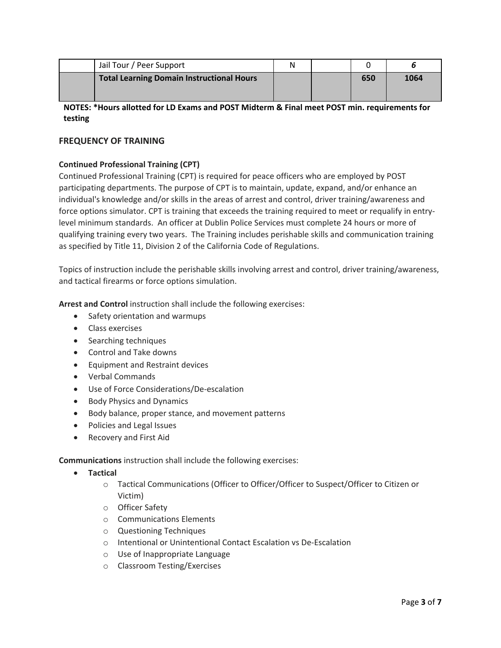| Jail Tour / Peer Support                  | Ν |     |      |
|-------------------------------------------|---|-----|------|
| Total Learning Domain Instructional Hours |   | 650 | 1064 |

# **NOTES: \*Hours allotted for LD Exams and POST Midterm & Final meet POST min. requirements for testing**

# **FREQUENCY OF TRAINING**

# **Continued Professional Training (CPT)**

Continued Professional Training (CPT) is required for peace officers who are employed by POST participating departments. The purpose of CPT is to maintain, update, expand, and/or enhance an individual's knowledge and/or skills in the areas of arrest and control, driver training/awareness and force options simulator. CPT is training that exceeds the training required to meet or requalify in entrylevel minimum standards. An officer at Dublin Police Services must complete 24 hours or more of qualifying training every two years. The Training includes perishable skills and communication training as specified by Title 11, Division 2 of the California Code of Regulations.

Topics of instruction include the perishable skills involving arrest and control, driver training/awareness, and tactical firearms or force options simulation.

**Arrest and Control** instruction shall include the following exercises:

- Safety orientation and warmups
- Class exercises
- Searching techniques
- Control and Take downs
- Equipment and Restraint devices
- Verbal Commands
- Use of Force Considerations/De-escalation
- Body Physics and Dynamics
- Body balance, proper stance, and movement patterns
- Policies and Legal Issues
- Recovery and First Aid

**Communications** instruction shall include the following exercises:

- **Tactical**
	- o Tactical Communications (Officer to Officer/Officer to Suspect/Officer to Citizen or Victim)
	- o Officer Safety
	- o Communications Elements
	- o Questioning Techniques
	- o Intentional or Unintentional Contact Escalation vs De-Escalation
	- o Use of Inappropriate Language
	- o Classroom Testing/Exercises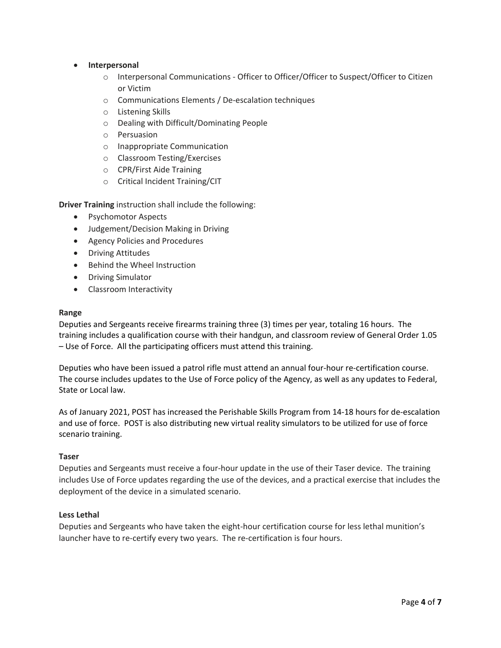- **Interpersonal**
	- o Interpersonal Communications Officer to Officer/Officer to Suspect/Officer to Citizen or Victim
	- o Communications Elements / De-escalation techniques
	- o Listening Skills
	- o Dealing with Difficult/Dominating People
	- o Persuasion
	- o Inappropriate Communication
	- o Classroom Testing/Exercises
	- o CPR/First Aide Training
	- o Critical Incident Training/CIT

**Driver Training** instruction shall include the following:

- Psychomotor Aspects
- Judgement/Decision Making in Driving
- Agency Policies and Procedures
- Driving Attitudes
- Behind the Wheel Instruction
- Driving Simulator
- Classroom Interactivity

#### **Range**

Deputies and Sergeants receive firearms training three (3) times per year, totaling 16 hours. The training includes a qualification course with their handgun, and classroom review of General Order 1.05 – Use of Force. All the participating officers must attend this training.

Deputies who have been issued a patrol rifle must attend an annual four-hour re-certification course. The course includes updates to the Use of Force policy of the Agency, as well as any updates to Federal, State or Local law.

As of January 2021, POST has increased the Perishable Skills Program from 14-18 hours for de-escalation and use of force. POST is also distributing new virtual reality simulators to be utilized for use of force scenario training.

### **Taser**

Deputies and Sergeants must receive a four-hour update in the use of their Taser device. The training includes Use of Force updates regarding the use of the devices, and a practical exercise that includes the deployment of the device in a simulated scenario.

### **Less Lethal**

Deputies and Sergeants who have taken the eight-hour certification course for less lethal munition's launcher have to re-certify every two years. The re-certification is four hours.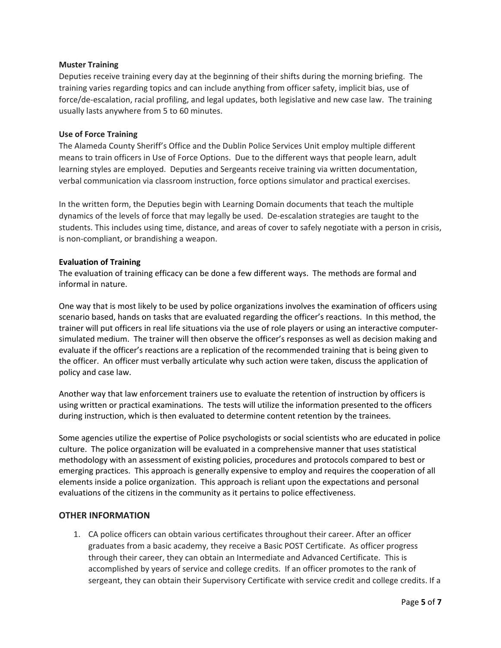#### **Muster Training**

Deputies receive training every day at the beginning of their shifts during the morning briefing. The training varies regarding topics and can include anything from officer safety, implicit bias, use of force/de-escalation, racial profiling, and legal updates, both legislative and new case law. The training usually lasts anywhere from 5 to 60 minutes.

#### **Use of Force Training**

The Alameda County Sheriff's Office and the Dublin Police Services Unit employ multiple different means to train officers in Use of Force Options. Due to the different ways that people learn, adult learning styles are employed. Deputies and Sergeants receive training via written documentation, verbal communication via classroom instruction, force options simulator and practical exercises.

In the written form, the Deputies begin with Learning Domain documents that teach the multiple dynamics of the levels of force that may legally be used. De-escalation strategies are taught to the students. This includes using time, distance, and areas of cover to safely negotiate with a person in crisis, is non-compliant, or brandishing a weapon.

#### **Evaluation of Training**

The evaluation of training efficacy can be done a few different ways. The methods are formal and informal in nature.

One way that is most likely to be used by police organizations involves the examination of officers using scenario based, hands on tasks that are evaluated regarding the officer's reactions. In this method, the trainer will put officers in real life situations via the use of role players or using an interactive computersimulated medium. The trainer will then observe the officer's responses as well as decision making and evaluate if the officer's reactions are a replication of the recommended training that is being given to the officer. An officer must verbally articulate why such action were taken, discuss the application of policy and case law.

Another way that law enforcement trainers use to evaluate the retention of instruction by officers is using written or practical examinations. The tests will utilize the information presented to the officers during instruction, which is then evaluated to determine content retention by the trainees.

Some agencies utilize the expertise of Police psychologists or social scientists who are educated in police culture. The police organization will be evaluated in a comprehensive manner that uses statistical methodology with an assessment of existing policies, procedures and protocols compared to best or emerging practices. This approach is generally expensive to employ and requires the cooperation of all elements inside a police organization. This approach is reliant upon the expectations and personal evaluations of the citizens in the community as it pertains to police effectiveness.

### **OTHER INFORMATION**

1. CA police officers can obtain various certificates throughout their career. After an officer graduates from a basic academy, they receive a Basic POST Certificate. As officer progress through their career, they can obtain an Intermediate and Advanced Certificate. This is accomplished by years of service and college credits. If an officer promotes to the rank of sergeant, they can obtain their Supervisory Certificate with service credit and college credits. If a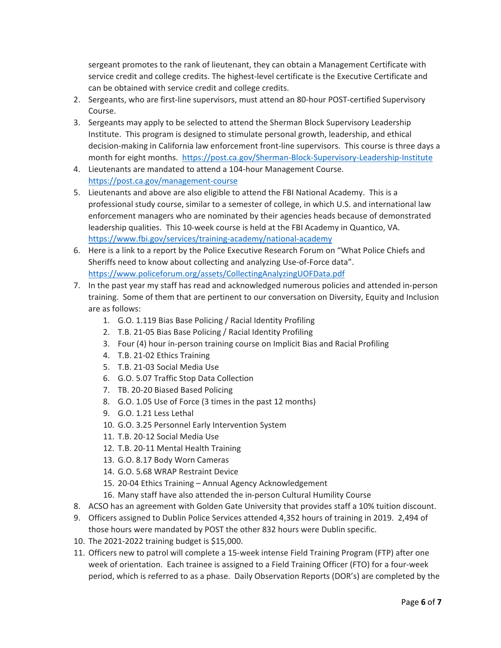sergeant promotes to the rank of lieutenant, they can obtain a Management Certificate with service credit and college credits. The highest-level certificate is the Executive Certificate and can be obtained with service credit and college credits.

- 2. Sergeants, who are first-line supervisors, must attend an 80-hour POST-certified Supervisory Course.
- 3. Sergeants may apply to be selected to attend the Sherman Block Supervisory Leadership Institute. This program is designed to stimulate personal growth, leadership, and ethical decision-making in California law enforcement front-line supervisors. This course is three days a month for eight months. <https://post.ca.gov/Sherman-Block-Supervisory-Leadership-Institute>
- 4. Lieutenants are mandated to attend a 104-hour Management Course. <https://post.ca.gov/management-course>
- 5. Lieutenants and above are also eligible to attend the FBI National Academy. This is a professional study course, similar to a semester of college, in which U.S. and international law enforcement managers who are nominated by their agencies heads because of demonstrated leadership qualities. This 10-week course is held at the FBI Academy in Quantico, VA. <https://www.fbi.gov/services/training-academy/national-academy>
- 6. Here is a link to a report by the Police Executive Research Forum on "What Police Chiefs and Sheriffs need to know about collecting and analyzing Use-of-Force data". <https://www.policeforum.org/assets/CollectingAnalyzingUOFData.pdf>
- 7. In the past year my staff has read and acknowledged numerous policies and attended in-person training. Some of them that are pertinent to our conversation on Diversity, Equity and Inclusion are as follows:
	- 1. G.O. 1.119 Bias Base Policing / Racial Identity Profiling
	- 2. T.B. 21-05 Bias Base Policing / Racial Identity Profiling
	- 3. Four (4) hour in-person training course on Implicit Bias and Racial Profiling
	- 4. T.B. 21-02 Ethics Training
	- 5. T.B. 21-03 Social Media Use
	- 6. G.O. 5.07 Traffic Stop Data Collection
	- 7. TB. 20-20 Biased Based Policing
	- 8. G.O. 1.05 Use of Force (3 times in the past 12 months)
	- 9. G.O. 1.21 Less Lethal
	- 10. G.O. 3.25 Personnel Early Intervention System
	- 11. T.B. 20-12 Social Media Use
	- 12. T.B. 20-11 Mental Health Training
	- 13. G.O. 8.17 Body Worn Cameras
	- 14. G.O. 5.68 WRAP Restraint Device
	- 15. 20-04 Ethics Training Annual Agency Acknowledgement
	- 16. Many staff have also attended the in-person Cultural Humility Course
- 8. ACSO has an agreement with Golden Gate University that provides staff a 10% tuition discount.
- 9. Officers assigned to Dublin Police Services attended 4,352 hours of training in 2019. 2,494 of those hours were mandated by POST the other 832 hours were Dublin specific.
- 10. The 2021-2022 training budget is \$15,000.
- 11. Officers new to patrol will complete a 15-week intense Field Training Program (FTP) after one week of orientation. Each trainee is assigned to a Field Training Officer (FTO) for a four-week period, which is referred to as a phase. Daily Observation Reports (DOR's) are completed by the